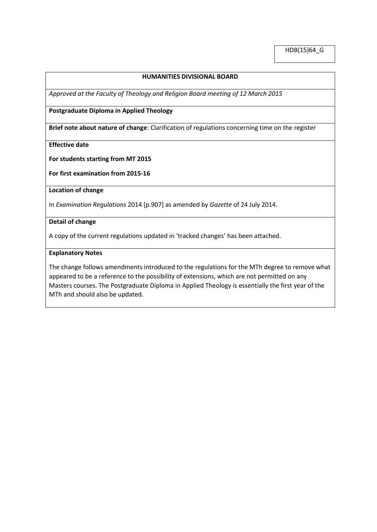## **HUMANITIES DIVISIONAL BOARD**

*Approved at the Faculty of Theology and Religion Board meeting of 12 March 2015*

## **Postgraduate Diploma in Applied Theology**

**Brief note about nature of change**: Clarification of regulations concerning time on the register

## **Effective date**

**For students starting from MT 2015** 

**For first examination from 2015-16** 

**Location of change**

In *Examination Regulations* 2014 [p.907] as amended by *Gazette* of 24 July 2014.

## **Detail of change**

A copy of the current regulations updated in 'tracked changes' has been attached.

## **Explanatory Notes**

The change follows amendments introduced to the regulations for the MTh degree to remove what appeared to be a reference to the possibility of extensions, which are not permitted on any Masters courses. The Postgraduate Diploma in Applied Theology is essentially the first year of the MTh and should also be updated.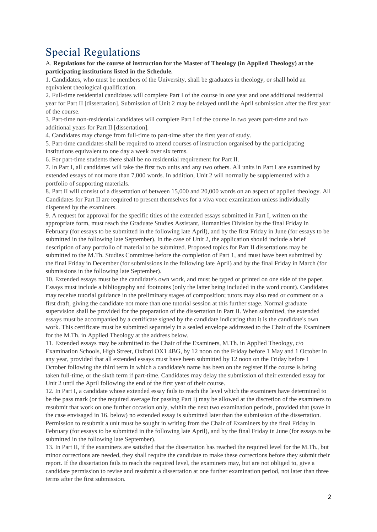# Special Regulations

A. **Regulations for the course of instruction for the Master of Theology (in Applied Theology) at the participating institutions listed in the Schedule.**

1. Candidates, who must be members of the University, shall be graduates in theology, or shall hold an equivalent theological qualification.

2. Full-time residential candidates will complete Part I of the course in *one* year and *one* additional residential year for Part II [dissertation]. Submission of Unit 2 may be delayed until the April submission after the first year of the course.

3. Part-time non-residential candidates will complete Part I of the course in *two* years part-time and *two* additional years for Part II [dissertation].

4. Candidates may change from full-time to part-time after the first year of study.

5. Part-time candidates shall be required to attend courses of instruction organised by the participating institutions equivalent to one day a week over six terms.

6. For part-time students there shall be no residential requirement for Part II.

7. In Part I, all candidates will take the first two units and any two others. All units in Part I are examined by extended essays of not more than 7,000 words. In addition, Unit 2 will normally be supplemented with a portfolio of supporting materials.

8. Part II will consist of a dissertation of between 15,000 and 20,000 words on an aspect of applied theology. All Candidates for Part II are required to present themselves for a viva voce examination unless individually dispensed by the examiners.

9. A request for approval for the specific titles of the extended essays submitted in Part I, written on the appropriate form, must reach the Graduate Studies Assistant, Humanities Division by the final Friday in February (for essays to be submitted in the following late April), and by the first Friday in June (for essays to be submitted in the following late September). In the case of Unit 2, the application should include a brief description of any portfolio of material to be submitted. Proposed topics for Part II dissertations may be submitted to the M.Th. Studies Committee before the completion of Part 1, and must have been submitted by the final Friday in December (for submissions in the following late April) and by the final Friday in March (for submissions in the following late September).

10. Extended essays must be the candidate's own work, and must be typed or printed on one side of the paper. Essays must include a bibliography and footnotes (only the latter being included in the word count). Candidates may receive tutorial guidance in the preliminary stages of composition; tutors may also read or comment on a first draft, giving the candidate not more than one tutorial session at this further stage. Normal graduate supervision shall be provided for the preparation of the dissertation in Part II. When submitted, the extended essays must be accompanied by a certificate signed by the candidate indicating that it is the candidate's own work. This certificate must be submitted separately in a sealed envelope addressed to the Chair of the Examiners for the M.Th. in Applied Theology at the address below.

11. Extended essays may be submitted to the Chair of the Examiners, M.Th. in Applied Theology, c/o Examination Schools, High Street, Oxford OX1 4BG, by 12 noon on the Friday before 1 May and 1 October in any year, provided that all extended essays must have been submitted by 12 noon on the Friday before 1 October following the third term in which a candidate's name has been on the register if the course is being taken full-time, or the sixth term if part-time. Candidates may delay the submission of their extended essay for Unit 2 until the April following the end of the first year of their course.

12. In Part I, a candidate whose extended essay fails to reach the level which the examiners have determined to be the pass mark (or the required average for passing Part I) may be allowed at the discretion of the examiners to resubmit that work on one further occasion only, within the next two examination periods, provided that (save in the case envisaged in 16. below) no extended essay is submitted later than the submission of the dissertation. Permission to resubmit a unit must be sought in writing from the Chair of Examiners by the final Friday in February (for essays to be submitted in the following late April), and by the final Friday in June (for essays to be submitted in the following late September).

13. In Part II, if the examiners are satisfied that the dissertation has reached the required level for the M.Th., but minor corrections are needed, they shall require the candidate to make these corrections before they submit their report. If the dissertation fails to reach the required level, the examiners may, but are not obliged to, give a candidate permission to revise and resubmit a dissertation at one further examination period, not later than three terms after the first submission.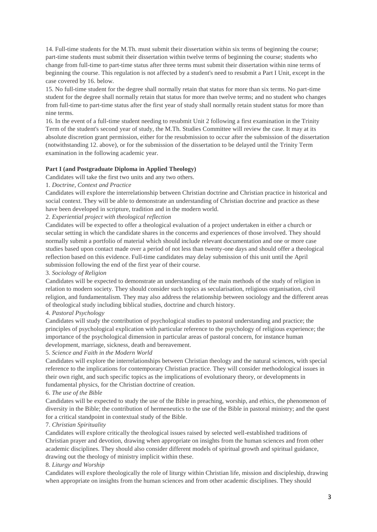14. Full-time students for the M.Th. must submit their dissertation within six terms of beginning the course; part-time students must submit their dissertation within twelve terms of beginning the course; students who change from full-time to part-time status after three terms must submit their dissertation within nine terms of beginning the course. This regulation is not affected by a student's need to resubmit a Part I Unit, except in the case covered by 16. below.

15. No full-time student for the degree shall normally retain that status for more than six terms. No part-time student for the degree shall normally retain that status for more than twelve terms; and no student who changes from full-time to part-time status after the first year of study shall normally retain student status for more than nine terms.

16. In the event of a full-time student needing to resubmit Unit 2 following a first examination in the Trinity Term of the student's second year of study, the M.Th. Studies Committee will review the case. It may at its absolute discretion grant permission, either for the resubmission to occur after the submission of the dissertation (notwithstanding 12. above), or for the submission of the dissertation to be delayed until the Trinity Term examination in the following academic year.

## **Part I (and Postgraduate Diploma in Applied Theology)**

Candidates will take the first two units and any two others.

## 1. *Doctrine, Context and Practice*

Candidates will explore the interrelationship between Christian doctrine and Christian practice in historical and social context. They will be able to demonstrate an understanding of Christian doctrine and practice as these have been developed in scripture, tradition and in the modern world.

#### 2. *Experiential project with theological reflection*

Candidates will be expected to offer a theological evaluation of a project undertaken in either a church or secular setting in which the candidate shares in the concerns and experiences of those involved. They should normally submit a portfolio of material which should include relevant documentation and one or more case studies based upon contact made over a period of not less than twenty-one days and should offer a theological reflection based on this evidence. Full-time candidates may delay submission of this unit until the April submission following the end of the first year of their course.

#### 3. *Sociology of Religion*

Candidates will be expected to demonstrate an understanding of the main methods of the study of religion in relation to modern society. They should consider such topics as secularisation, religious organisation, civil religion, and fundamentalism. They may also address the relationship between sociology and the different areas of theological study including biblical studies, doctrine and church history.

#### 4. *Pastoral Psychology*

Candidates will study the contribution of psychological studies to pastoral understanding and practice; the principles of psychological explication with particular reference to the psychology of religious experience; the importance of the psychological dimension in particular areas of pastoral concern, for instance human development, marriage, sickness, death and bereavement.

#### 5. *Science and Faith in the Modern World*

Candidates will explore the interrelationships between Christian theology and the natural sciences, with special reference to the implications for contemporary Christian practice. They will consider methodological issues in their own right, and such specific topics as the implications of evolutionary theory, or developments in fundamental physics, for the Christian doctrine of creation.

#### 6. *The use of the Bible*

Candidates will be expected to study the use of the Bible in preaching, worship, and ethics, the phenomenon of diversity in the Bible; the contribution of hermeneutics to the use of the Bible in pastoral ministry; and the quest for a critical standpoint in contextual study of the Bible.

## 7. *Christian Spirituality*

Candidates will explore critically the theological issues raised by selected well-established traditions of Christian prayer and devotion, drawing when appropriate on insights from the human sciences and from other academic disciplines. They should also consider different models of spiritual growth and spiritual guidance, drawing out the theology of ministry implicit within these.

#### 8. *Liturgy and Worship*

Candidates will explore theologically the role of liturgy within Christian life, mission and discipleship, drawing when appropriate on insights from the human sciences and from other academic disciplines. They should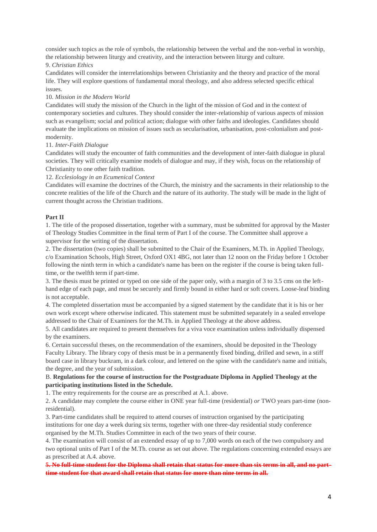consider such topics as the role of symbols, the relationship between the verbal and the non-verbal in worship, the relationship between liturgy and creativity, and the interaction between liturgy and culture. 9. *Christian Ethics*

Candidates will consider the interrelationships between Christianity and the theory and practice of the moral life. They will explore questions of fundamental moral theology, and also address selected specific ethical issues.

## 10. *Mission in the Modern World*

Candidates will study the mission of the Church in the light of the mission of God and in the context of contemporary societies and cultures. They should consider the inter-relationship of various aspects of mission such as evangelism; social and political action; dialogue with other faiths and ideologies. Candidates should evaluate the implications on mission of issues such as secularisation, urbanisation, post-colonialism and postmodernity.

## 11. *Inter-Faith Dialogue*

Candidates will study the encounter of faith communities and the development of inter-faith dialogue in plural societies. They will critically examine models of dialogue and may, if they wish, focus on the relationship of Christianity to one other faith tradition.

12. *Ecclesiology in an Ecumenical Context*

Candidates will examine the doctrines of the Church, the ministry and the sacraments in their relationship to the concrete realities of the life of the Church and the nature of its authority. The study will be made in the light of current thought across the Christian traditions.

## **Part II**

1. The title of the proposed dissertation, together with a summary, must be submitted for approval by the Master of Theology Studies Committee in the final term of Part I of the course. The Committee shall approve a supervisor for the writing of the dissertation.

2. The dissertation (two copies) shall be submitted to the Chair of the Examiners, M.Th. in Applied Theology, c/o Examination Schools, High Street, Oxford OX1 4BG, not later than 12 noon on the Friday before 1 October following the ninth term in which a candidate's name has been on the register if the course is being taken fulltime, or the twelfth term if part-time.

3. The thesis must be printed or typed on one side of the paper only, with a margin of 3 to 3.5 cms on the lefthand edge of each page, and must be securely and firmly bound in either hard or soft covers. Loose-leaf binding is not acceptable.

4. The completed dissertation must be accompanied by a signed statement by the candidate that it is his or her own work except where otherwise indicated. This statement must be submitted separately in a sealed envelope addressed to the Chair of Examiners for the M.Th. in Applied Theology at the above address.

5. All candidates are required to present themselves for a viva voce examination unless individually dispensed by the examiners.

6. Certain successful theses, on the recommendation of the examiners, should be deposited in the Theology Faculty Library. The library copy of thesis must be in a permanently fixed binding, drilled and sewn, in a stiff board case in library buckram, in a dark colour, and lettered on the spine with the candidate's name and initials, the degree, and the year of submission.

## B. **Regulations for the course of instruction for the Postgraduate Diploma in Applied Theology at the participating institutions listed in the Schedule.**

1. The entry requirements for the course are as prescribed at A.1. above.

2. A candidate may complete the course either in ONE year full-time (residential) *or* TWO years part-time (nonresidential).

3. Part-time candidates shall be required to attend courses of instruction organised by the participating institutions for one day a week during six terms, together with one three-day residential study conference organised by the M.Th. Studies Committee in each of the two years of their course.

4. The examination will consist of an extended essay of up to 7,000 words on each of the two compulsory and two optional units of Part I of the M.Th. course as set out above. The regulations concerning extended essays are as prescribed at A.4. above.

## **5. No full-time student for the Diploma shall retain that status for more than six terms in all, and no parttime student for that award shall retain that status for more than nine terms in all.**